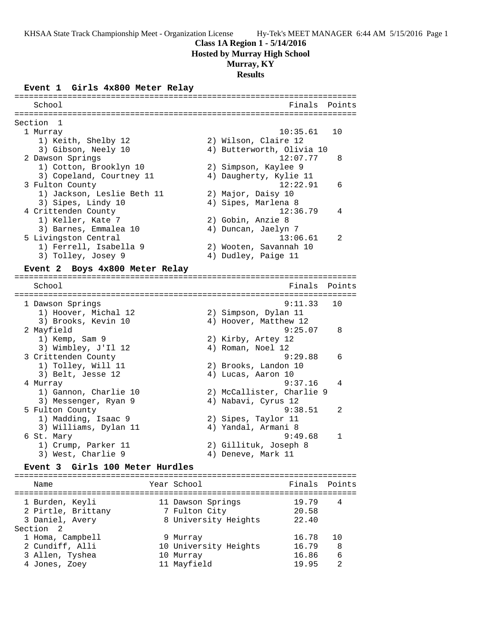#### **Class 1A Region 1 - 5/14/2016**

**Hosted by Murray High School**

#### **Murray, KY**

## **Results**

#### **Event 1 Girls 4x800 Meter Relay**

======================================================================= School **Finals Points** ======================================================================= Section 1 1 Murray 10:35.61 10 1) Keith, Shelby 12 2) Wilson, Claire 12 3) Gibson, Neely 10 4) Butterworth, Olivia 10 2 Dawson Springs 12:07.77 8 1) Cotton, Brooklyn 10 2) Simpson, Kaylee 9 3) Copeland, Courtney 11 4) Daugherty, Kylie 11 3 Fulton County 12:22.91 6 1) Jackson, Leslie Beth 11 2) Major, Daisy 10 3) Sipes, Lindy 10 (4) Sipes, Marlena 8 4 Crittenden County 12:36.79 4 1) Keller, Kate 7 2) Gobin, Anzie 8 3) Barnes, Emmalea 10 4) Duncan, Jaelyn 7 5 Livingston Central 13:06.61 2 1) Ferrell, Isabella 9 2) Wooten, Savannah 10 3) Tolley, Josey 9 4) Dudley, Paige 11 **Event 2 Boys 4x800 Meter Relay** ======================================================================= School **Finals** Points ======================================================================= 1 Dawson Springs 9:11.33 10 1) Hoover, Michal 12 2) Simpson, Dylan 11 3) Brooks, Kevin 10 4) Hoover, Matthew 12 2 Mayfield 9:25.07 8 1) Kemp, Sam 9 2) Kirby, Artey 12 3) Wimbley, J'Il 12 (4) Roman, Noel 12 3 Crittenden County 9:29.88 6 1) Tolley, Will 11 2) Brooks, Landon 10 3) Belt, Jesse 12 (4) Lucas, Aaron 10 4 Murray 9:37.16 4 1) Gannon, Charlie 10 2) McCallister, Charlie 9 3) Messenger, Ryan 9 4) Nabavi, Cyrus 12 5 Fulton County 9:38.51 2 1) Madding, Isaac 9 2) Sipes, Taylor 11 3) Williams, Dylan 11  $\qquad \qquad$  4) Yandal, Armani 8 6 St. Mary 9:49.68 1 1) Crump, Parker 11 2) Gillituk, Joseph 8<br>2) Mart Charlie 2 3) West, Charlie 9 4) Deneve, Mark 11

#### **Event 3 Girls 100 Meter Hurdles**

| Name               | Year School           | Finals Points |    |
|--------------------|-----------------------|---------------|----|
| 1 Burden, Keyli    | 11 Dawson Springs     | 19.79         |    |
| 2 Pirtle, Brittany | 7 Fulton City         | 20.58         |    |
| 3 Daniel, Avery    | 8 University Heights  | 22.40         |    |
| Section 2          |                       |               |    |
| 1 Homa, Campbell   | 9 Murray              | 16.78         | 10 |
| 2 Cundiff, Alli    | 10 University Heights | 16.79         | 8  |
| 3 Allen, Tyshea    | 10 Murray             | 16.86         | 6  |
| 4 Jones, Zoey      | 11 Mayfield           | 19.95         | 2  |
|                    |                       |               |    |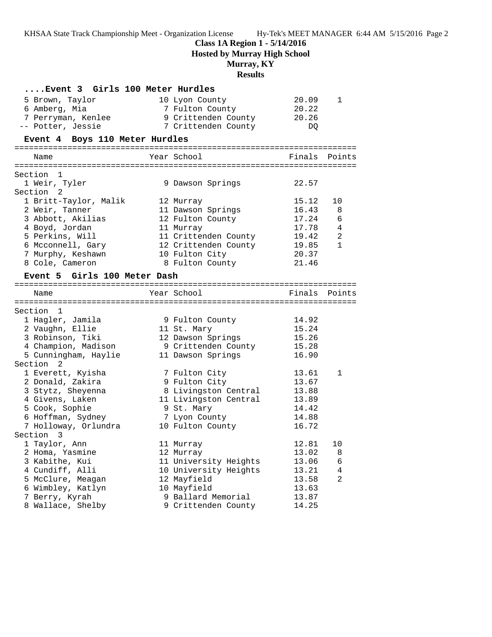## **Class 1A Region 1 - 5/14/2016**

**Hosted by Murray High School**

# **Murray, KY**

## **Results**

| Event 3 Girls 100 Meter Hurdles |                       |        |                |
|---------------------------------|-----------------------|--------|----------------|
| 5 Brown, Taylor                 | 10 Lyon County        | 20.09  | 1              |
| 6 Amberg, Mia                   | 7 Fulton County       | 20.22  |                |
| 7 Perryman, Kenlee              | 9 Crittenden County   | 20.26  |                |
| -- Potter, Jessie               | 7 Crittenden County   | DQ     |                |
| Event 4 Boys 110 Meter Hurdles  |                       |        |                |
| Name                            | Year School           | Finals | Points         |
| Section 1                       |                       |        |                |
| 1 Weir, Tyler                   | 9 Dawson Springs      | 22.57  |                |
| Section 2                       |                       |        |                |
| 1 Britt-Taylor, Malik           | 12 Murray             | 15.12  | 10             |
| 2 Weir, Tanner                  | 11 Dawson Springs     | 16.43  | 8              |
| 3 Abbott, Akilias               | 12 Fulton County      | 17.24  | 6              |
| 4 Boyd, Jordan                  | 11 Murray             | 17.78  | $\overline{4}$ |
| 5 Perkins, Will                 | 11 Crittenden County  | 19.42  | 2              |
| 6 Mcconnell, Gary               | 12 Crittenden County  | 19.85  | $\mathbf{1}$   |
| 7 Murphy, Keshawn               | 10 Fulton City        | 20.37  |                |
| 8 Cole, Cameron                 | 8 Fulton County       | 21.46  |                |
| Event 5 Girls 100 Meter Dash    |                       |        |                |
| Name                            | Year School           | Finals | Points         |
|                                 |                       |        |                |
| Section 1                       |                       |        |                |
| 1 Hagler, Jamila                | 9 Fulton County       | 14.92  |                |
| 2 Vaughn, Ellie                 | 11 St. Mary           | 15.24  |                |
| 3 Robinson, Tiki                | 12 Dawson Springs     | 15.26  |                |
| 4 Champion, Madison             | 9 Crittenden County   | 15.28  |                |
| 5 Cunningham, Haylie            | 11 Dawson Springs     | 16.90  |                |
| Section <sub>2</sub>            |                       |        |                |
| 1 Everett, Kyisha               | 7 Fulton City         | 13.61  | 1              |
| 2 Donald, Zakira                | 9 Fulton City         | 13.67  |                |
| 3 Stytz, Sheyenna               | 8 Livingston Central  | 13.88  |                |
| 4 Givens, Laken                 | 11 Livingston Central | 13.89  |                |
| 5 Cook, Sophie                  | 9 St. Mary            | 14.42  |                |
| 6 Hoffman, Sydney               | 7 Lyon County         | 14.88  |                |
| 7 Holloway, Orlundra            | 10 Fulton County      | 16.72  |                |
| Section<br>3                    |                       |        |                |
| 1 Taylor, Ann                   | 11 Murray             | 12.81  | 10             |
| 2 Homa, Yasmine                 | 12 Murray             | 13.02  | 8              |
| 3 Kabithe, Kui                  | 11 University Heights | 13.06  | 6              |
| 4 Cundiff, Alli                 | 10 University Heights | 13.21  | 4              |
| 5 McClure, Meagan               | 12 Mayfield           | 13.58  | 2              |
| 6 Wimbley, Katlyn               | 10 Mayfield           | 13.63  |                |
| 7 Berry, Kyrah                  | 9 Ballard Memorial    | 13.87  |                |
| 8 Wallace, Shelby               | 9 Crittenden County   | 14.25  |                |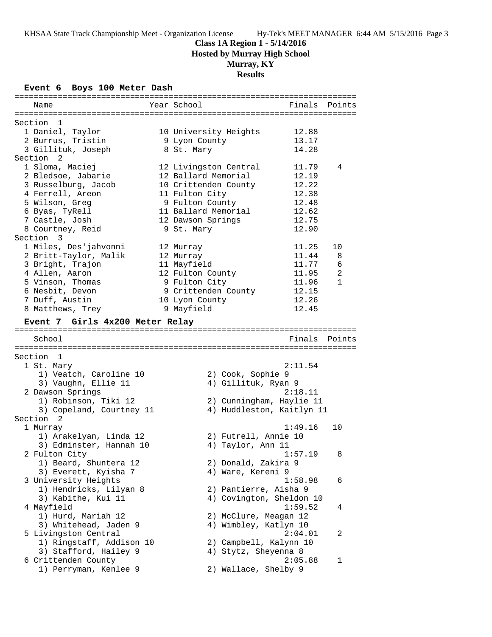# **Class 1A Region 1 - 5/14/2016**

**Hosted by Murray High School**

# **Murray, KY**

# **Results**

#### **Event 6 Boys 100 Meter Dash**

| Name                            | Year School               | Finals Points |              |
|---------------------------------|---------------------------|---------------|--------------|
| Section 1                       |                           |               |              |
| 1 Daniel, Taylor                | 10 University Heights     | 12.88         |              |
| 2 Burrus, Tristin               | 9 Lyon County             | 13.17         |              |
| 3 Gillituk, Joseph              | 8 St. Mary                | 14.28         |              |
| Section <sub>2</sub>            |                           |               |              |
| 1 Sloma, Maciej                 | 12 Livingston Central     | 11.79         | 4            |
| 2 Bledsoe, Jabarie              | 12 Ballard Memorial       | 12.19         |              |
| 3 Russelburg, Jacob             | 10 Crittenden County      | 12.22         |              |
| 4 Ferrell, Areon                | 11 Fulton City            | 12.38         |              |
| 5 Wilson, Greg                  | 9 Fulton County           | 12.48         |              |
| 6 Byas, TyRell                  | 11 Ballard Memorial       | 12.62         |              |
| 7 Castle, Josh                  | 12 Dawson Springs         | 12.75         |              |
| 8 Courtney, Reid                | 9 St. Mary                | 12.90         |              |
| Section 3                       |                           |               |              |
| 1 Miles, Des'jahvonni           | 12 Murray                 | 11.25         | 10           |
| 2 Britt-Taylor, Malik           | 12 Murray                 | 11.44         | 8            |
| 3 Bright, Trajon                | 11 Mayfield               | 11.77         | $\epsilon$   |
| 4 Allen, Aaron                  | 12 Fulton County          | 11.95         | 2            |
| 5 Vinson, Thomas                | 9 Fulton City             | 11.96         | $\mathbf{1}$ |
| 6 Nesbit, Devon                 | 9 Crittenden County       | 12.15         |              |
| 7 Duff, Austin                  | 10 Lyon County            | 12.26         |              |
| 8 Matthews, Trey                | 9 Mayfield                | 12.45         |              |
| Event 7 Girls 4x200 Meter Relay |                           |               |              |
|                                 |                           |               |              |
| School                          |                           | Finals        | Points       |
| Section 1                       |                           |               |              |
| 1 St. Mary                      |                           | 2:11.54       |              |
| 1) Veatch, Caroline 10          | 2) Cook, Sophie 9         |               |              |
| 3) Vaughn, Ellie 11             | 4) Gillituk, Ryan 9       |               |              |
| 2 Dawson Springs                |                           | 2:18.11       |              |
| 1) Robinson, Tiki 12            | 2) Cunningham, Haylie 11  |               |              |
| 3) Copeland, Courtney 11        | 4) Huddleston, Kaitlyn 11 |               |              |
| Section <sub>2</sub>            |                           |               |              |
| 1 Murray                        |                           | 1:49.16       | 10           |
| 1) Arakelyan, Linda 12          | 2) Futrell, Annie 10      |               |              |
| 3) Edminster, Hannah 10         | 4) Taylor, Ann 11         |               |              |
| 2 Fulton City                   |                           | 1:57.19       | 8            |
| 1) Beard, Shuntera 12           | 2) Donald, Zakira 9       |               |              |
| 3) Everett, Kyisha 7            | 4) Ware, Kereni 9         |               |              |
| 3 University Heights            |                           | 1:58.98       | 6            |
| 1) Hendricks, Lilyan 8          | 2) Pantierre, Aisha 9     |               |              |
| 3) Kabithe, Kui 11              | 4) Covington, Sheldon 10  |               |              |
| 4 Mayfield                      |                           | 1:59.52       | 4            |
| 1) Hurd, Mariah 12              | 2) McClure, Meagan 12     |               |              |
| 3) Whitehead, Jaden 9           | 4) Wimbley, Katlyn 10     |               |              |
| 5 Livingston Central            |                           | 2:04.01       | 2            |
| 1) Ringstaff, Addison 10        | 2) Campbell, Kalynn 10    |               |              |
| 3) Stafford, Hailey 9           | 4) Stytz, Sheyenna 8      |               |              |
| 6 Crittenden County             |                           | 2:05.88       | 1            |
| 1) Perryman, Kenlee 9           | 2) Wallace, Shelby 9      |               |              |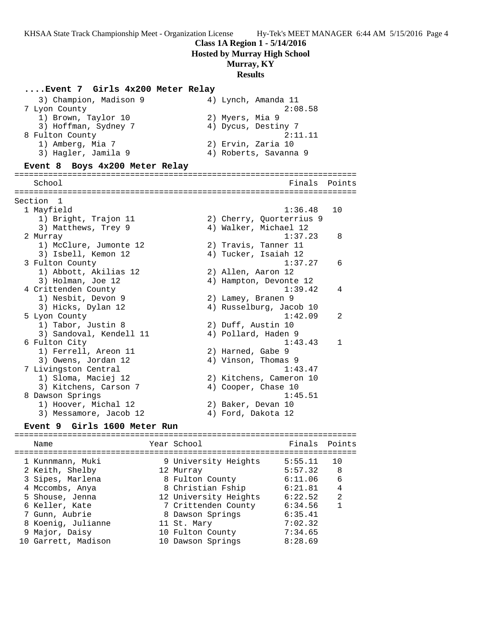**Class 1A Region 1 - 5/14/2016**

**Hosted by Murray High School**

## **Murray, KY**

#### **Results**

#### **....Event 7 Girls 4x200 Meter Relay**

| 3) Champion, Madison 9                                                              | 4) Lynch, Amanda 11   |
|-------------------------------------------------------------------------------------|-----------------------|
| 7 Lyon County                                                                       | 2:08.58               |
| 1) Brown, Taylor 10                                                                 | 2) Myers, Mia 9       |
| 3) Hoffman, Sydney 7                                                                | 4) Dycus, Destiny 7   |
| 8 Fulton County                                                                     | 2:11.11               |
| 1) Amberg, Mia 7                                                                    | 2) Ervin, Zaria 10    |
| 3) Hagler, Jamila 9                                                                 | 4) Roberts, Savanna 9 |
| $T_{\text{total}}$ 0 $D_{\text{total}}$ 4-000 $M_{\text{total}}$ $D_{\text{total}}$ |                       |

#### **Event 8 Boys 4x200 Meter Relay**

======================================================================= School **Finals** Points **Points** ======================================================================= Section 1 1 Mayfield 1:36.48 10 1) Bright, Trajon 11 2) Cherry, Quorterrius 9 3) Matthews, Trey 9  $\hskip1cm \hskip1cm 4$ ) Walker, Michael 12 2 Murray 1:37.23 8 1) McClure, Jumonte 12 2) Travis, Tanner 11 3) Isbell, Kemon 12 (4) Tucker, Isaiah 12 3 Fulton County 1:37.27 6 1) Abbott, Akilias 12 2) Allen, Aaron 12 3) Holman, Joe 12 4) Hampton, Devonte 12 4 Crittenden County 1:39.42 4 1) Nesbit, Devon 9 2) Lamey, Branen 9 3) Hicks, Dylan 12 4) Russelburg, Jacob 10 5 Lyon County 1:42.09 2 1) Tabor, Justin 8 2) Duff, Austin 10 3) Sandoval, Kendell 11 (4) Pollard, Haden 9 6 Fulton City 1:43.43 1 1) Ferrell, Areon 11 2) Harned, Gabe 9 3) Owens, Jordan 12 (4) 4) Vinson, Thomas 9 7 Livingston Central 1:43.47 1) Sloma, Maciej 12 2) Kitchens, Cameron 10 3) Kitchens, Carson 7 (4) Cooper, Chase 10 8 Dawson Springs 1:45.51 1) Hoover, Michal 12 2) Baker, Devan 10 3) Messamore, Jacob 12 (4) Ford, Dakota 12

#### **Event 9 Girls 1600 Meter Run**

#### ======================================================================= Name Year School Finals Points ======================================================================= 1 Kunnmann, Muki 9 University Heights 5:55.11 10 2 Keith, Shelby 12 Murray 5:57.32 8 3 Sipes, Marlena 8 Fulton County 6:11.06 6 4 Mccombs, Anya 8 Christian Fship 6:21.81 4 5 Shouse, Jenna 12 University Heights 6:22.52 2 6 Keller, Kate 7 Crittenden County 6:34.56 1 7 Gunn, Aubrie 8 Dawson Springs 6:35.41 8 Koenig, Julianne 11 St. Mary 7:02.32 9 Major, Daisy 10 Fulton County 7:34.65 10 Garrett, Madison 10 Dawson Springs 8:28.69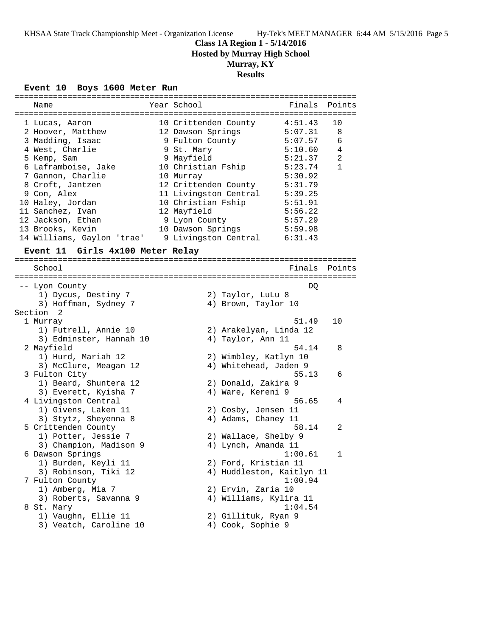# **Class 1A Region 1 - 5/14/2016**

**Hosted by Murray High School**

# **Murray, KY**

# **Results**

## **Event 10 Boys 1600 Meter Run**

| Name                                            | Year School           | Finals                                   | Points       |
|-------------------------------------------------|-----------------------|------------------------------------------|--------------|
| 1 Lucas, Aaron                                  | 10 Crittenden County  | 4:51.43                                  | 10           |
| 2 Hoover, Matthew                               | 12 Dawson Springs     | 5:07.31                                  | 8            |
| 3 Madding, Isaac                                | 9 Fulton County       | 5:07.57                                  | 6            |
| 4 West, Charlie                                 | 9 St. Mary            | 5:10.60                                  | 4            |
| 5 Kemp, Sam                                     | 9 Mayfield            | 5:21.37                                  | 2            |
| 6 Laframboise, Jake                             | 10 Christian Fship    | 5:23.74                                  | $\mathbf{1}$ |
| 7 Gannon, Charlie                               | 10 Murray             | 5:30.92                                  |              |
| 8 Croft, Jantzen                                | 12 Crittenden County  | 5:31.79                                  |              |
| 9 Con, Alex                                     | 11 Livingston Central | 5:39.25                                  |              |
| 10 Haley, Jordan                                | 10 Christian Fship    | 5:51.91                                  |              |
| 11 Sanchez, Ivan                                | 12 Mayfield           | 5:56.22                                  |              |
| 12 Jackson, Ethan                               | 9 Lyon County         | 5:57.29                                  |              |
| 13 Brooks, Kevin                                | 10 Dawson Springs     | 5:59.98                                  |              |
| 14 Williams, Gaylon 'trae' 9 Livingston Central |                       | 6:31.43                                  |              |
| Event 11 Girls 4x100 Meter Relay                |                       |                                          |              |
|                                                 |                       |                                          |              |
| School                                          |                       | Finals                                   | Points       |
|                                                 |                       |                                          |              |
| -- Lyon County                                  |                       | DQ                                       |              |
| 1) Dycus, Destiny 7                             |                       | 2) Taylor, LuLu 8                        |              |
| 3) Hoffman, Sydney 7                            |                       | 4) Brown, Taylor 10                      |              |
| Section<br>2                                    |                       |                                          |              |
| 1 Murray                                        |                       | 51.49                                    | 10           |
| 1) Futrell, Annie 10                            |                       | 2) Arakelyan, Linda 12                   |              |
| 3) Edminster, Hannah 10                         |                       | 4) Taylor, Ann 11                        |              |
| 2 Mayfield                                      |                       | 54.14                                    | 8            |
| 1) Hurd, Mariah 12                              |                       | 2) Wimbley, Katlyn 10                    |              |
| 3) McClure, Meagan 12                           |                       | 4) Whitehead, Jaden 9                    |              |
| 3 Fulton City                                   |                       | 55.13                                    | 6            |
| 1) Beard, Shuntera 12                           |                       | 2) Donald, Zakira 9                      |              |
| 3) Everett, Kyisha 7                            |                       | 4) Ware, Kereni 9                        |              |
| 4 Livingston Central                            |                       | 56.65                                    | 4            |
| 1) Givens, Laken 11                             |                       | 2) Cosby, Jensen 11                      |              |
| 3) Stytz, Sheyenna 8                            |                       | 4) Adams, Chaney 11                      |              |
| 5 Crittenden County                             |                       | 58.14                                    | 2            |
| 1) Potter, Jessie 7                             |                       | 2) Wallace, Shelby 9                     |              |
| 3) Champion, Madison 9                          |                       | 4) Lynch, Amanda 11                      |              |
| 6 Dawson Springs                                |                       | 1:00.61                                  |              |
| 1) Burden, Keyli 11                             |                       | 2) Ford, Kristian 11                     |              |
| 3) Robinson, Tiki 12                            |                       | 4) Huddleston, Kaitlyn 11                |              |
| 7 Fulton County                                 |                       | 1:00.94                                  |              |
| 1) Amberg, Mia 7                                |                       | 2) Ervin, Zaria 10                       |              |
| 3) Roberts, Savanna 9                           |                       | 4) Williams, Kylira 11                   |              |
| 8 St. Mary<br>1) Vaughn, Ellie 11               |                       | 1:04.54                                  |              |
| 3) Veatch, Caroline 10                          |                       | 2) Gillituk, Ryan 9<br>4) Cook, Sophie 9 |              |
|                                                 |                       |                                          |              |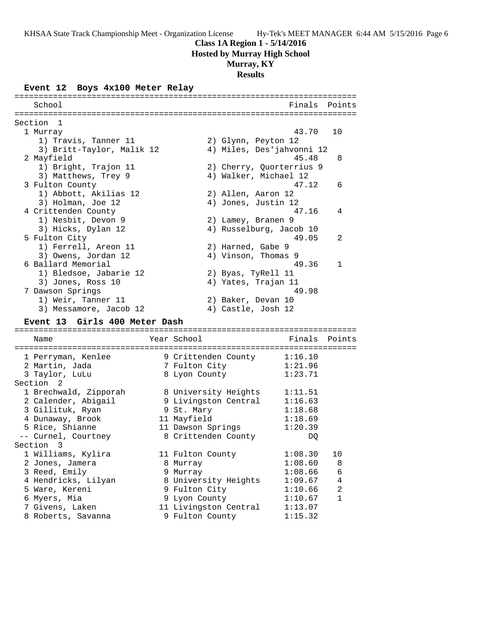## **Class 1A Region 1 - 5/14/2016**

**Hosted by Murray High School**

## **Murray, KY**

# **Results**

# **Event 12 Boys 4x100 Meter Relay**

| School                                   |                                          |                                                   | Finals Points |
|------------------------------------------|------------------------------------------|---------------------------------------------------|---------------|
|                                          |                                          |                                                   |               |
| Section 1                                |                                          |                                                   |               |
| 1 Murray                                 |                                          | 43.70                                             | 10            |
| 1) Travis, Tanner 11                     |                                          | 2) Glynn, Peyton 12                               |               |
| 3) Britt-Taylor, Malik 12                |                                          | 4) Miles, Des'jahvonni 12                         |               |
| 2 Mayfield                               |                                          | 45.48                                             | 8             |
| 1) Bright, Trajon 11                     |                                          | 2) Cherry, Quorterrius 9<br>4) Walker, Michael 12 |               |
| 3) Matthews, Trey 9                      |                                          | 47.12                                             |               |
| 3 Fulton County<br>1) Abbott, Akilias 12 |                                          | 2) Allen, Aaron 12                                | 6             |
| 3) Holman, Joe 12                        |                                          | 4) Jones, Justin 12                               |               |
| 4 Crittenden County                      |                                          | 47.16                                             | 4             |
| 1) Nesbit, Devon 9                       |                                          | 2) Lamey, Branen 9                                |               |
| 3) Hicks, Dylan 12                       |                                          | 4) Russelburg, Jacob 10                           |               |
| 5 Fulton City                            |                                          | 49.05                                             | 2             |
| 1) Ferrell, Areon 11                     |                                          | 2) Harned, Gabe 9                                 |               |
| 3) Owens, Jordan 12                      |                                          | 4) Vinson, Thomas 9                               |               |
| 6 Ballard Memorial                       |                                          | 49.36                                             | $\mathbf{1}$  |
| 1) Bledsoe, Jabarie 12                   |                                          | 2) Byas, TyRell 11                                |               |
| 3) Jones, Ross 10                        |                                          | 4) Yates, Trajan 11                               |               |
| 7 Dawson Springs                         |                                          | 49.98                                             |               |
| 1) Weir, Tanner 11                       |                                          | 2) Baker, Devan 10                                |               |
| 3) Messamore, Jacob 12                   |                                          | 4) Castle, Josh 12                                |               |
| Event 13 Girls 400 Meter Dash            |                                          |                                                   |               |
|                                          |                                          |                                                   |               |
| Name                                     | Year School                              | Finals                                            | Points        |
|                                          |                                          |                                                   |               |
| 1 Perryman, Kenlee                       |                                          | 9 Crittenden County 1:16.10                       |               |
| 2 Martin, Jada                           | 7 Fulton City                            | 1:21.96                                           |               |
| 3 Taylor, LuLu                           | 8 Lyon County                            | 1:23.71                                           |               |
| Section 2                                |                                          |                                                   |               |
| 1 Brechwald, Zipporah                    | 8 University Heights                     | 1:11.51                                           |               |
| 2 Calender, Abigail                      |                                          | 9 Livingston Central 1:16.63                      |               |
| 3 Gillituk, Ryan                         | 9 St. Mary                               | 1:18.68                                           |               |
| 4 Dunaway, Brook                         | 11 Mayfield                              | 1:18.69                                           |               |
| 5 Rice, Shianne                          | 11 Dawson Springs                        | 1:20.39                                           |               |
| -- Curnel, Courtney                      | 8 Crittenden County                      | DQ                                                |               |
| Section 3                                |                                          |                                                   |               |
| 1 Williams, Kylira                       | 11 Fulton County                         | 1:08.30                                           | 10            |
| 2 Jones, Jamera                          | 8 Murray                                 | 1:08.60                                           | 8             |
| 3 Reed, Emily                            | 9 Murray                                 | 1:08.66                                           | 6             |
| 4 Hendricks, Lilyan                      | 8 University Heights                     | 1:09.67                                           | 4             |
| 5 Ware, Kereni                           | 9 Fulton City                            | 1:10.66                                           | 2             |
| 6 Myers, Mia                             | 9 Lyon County                            | 1:10.67                                           | 1             |
| 7 Givens, Laken                          | 11 Livingston Central<br>9 Fulton County | 1:13.07                                           |               |
| 8 Roberts, Savanna                       |                                          | 1:15.32                                           |               |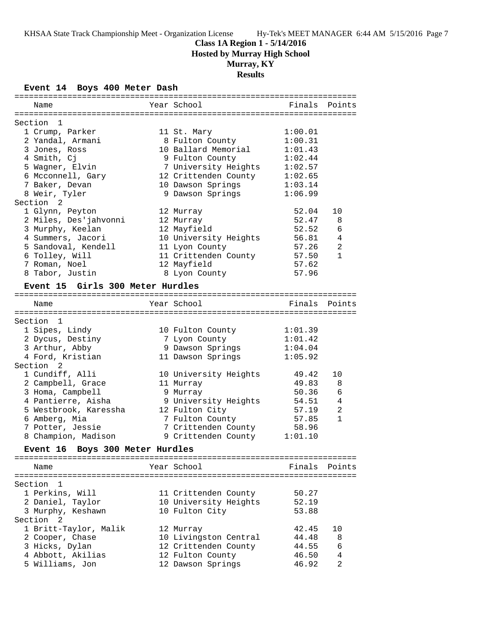## **Class 1A Region 1 - 5/14/2016**

**Hosted by Murray High School**

# **Murray, KY**

# **Results**

**Event 14 Boys 400 Meter Dash**

| ============                              |                       |         |                |
|-------------------------------------------|-----------------------|---------|----------------|
| Name                                      | Year School           | Finals  | Points         |
|                                           |                       |         |                |
| Section 1                                 |                       |         |                |
| 1 Crump, Parker                           | 11 St. Mary           | 1:00.01 |                |
| 2 Yandal, Armani                          | 8 Fulton County       | 1:00.31 |                |
| 3 Jones, Ross                             | 10 Ballard Memorial   | 1:01.43 |                |
| 4 Smith, Cj                               | 9 Fulton County       | 1:02.44 |                |
| 5 Wagner, Elvin                           | 7 University Heights  | 1:02.57 |                |
| 6 Mcconnell, Gary                         | 12 Crittenden County  | 1:02.65 |                |
| 7 Baker, Devan                            | 10 Dawson Springs     | 1:03.14 |                |
| 8 Weir, Tyler                             | 9 Dawson Springs      | 1:06.99 |                |
| Section<br>2                              |                       |         |                |
| 1 Glynn, Peyton                           | 12 Murray             | 52.04   | 10             |
| 2 Miles, Des'jahvonni                     | 12 Murray             | 52.47   | 8              |
| 3 Murphy, Keelan                          | 12 Mayfield           | 52.52   | 6              |
| 4 Summers, Jacori                         | 10 University Heights | 56.81   | 4              |
| 5 Sandoval, Kendell                       | 11 Lyon County        | 57.26   | $\overline{a}$ |
| 6 Tolley, Will                            | 11 Crittenden County  | 57.50   | $\mathbf{1}$   |
| 7 Roman, Noel                             | 12 Mayfield           | 57.62   |                |
| 8 Tabor, Justin                           | 8 Lyon County         | 57.96   |                |
| Event 15 Girls 300 Meter Hurdles          |                       |         |                |
|                                           |                       |         |                |
| Name                                      | Year School           | Finals  | Points         |
|                                           |                       |         |                |
| Section 1                                 |                       |         |                |
| 1 Sipes, Lindy                            | 10 Fulton County      | 1:01.39 |                |
| 2 Dycus, Destiny                          | 7 Lyon County         | 1:01.42 |                |
| 3 Arthur, Abby                            | 9 Dawson Springs      | 1:04.04 |                |
| 4 Ford, Kristian                          | 11 Dawson Springs     | 1:05.92 |                |
| Section <sub>2</sub>                      |                       |         |                |
| 1 Cundiff, Alli                           | 10 University Heights | 49.42   | 10             |
| 2 Campbell, Grace                         | 11 Murray             | 49.83   | 8              |
| 3 Homa, Campbell                          | 9 Murray              | 50.36   | 6              |
| 4 Pantierre, Aisha                        | 9 University Heights  | 54.51   | 4              |
| 5 Westbrook, Karessha                     | 12 Fulton City        | 57.19   | 2              |
| 6 Amberg, Mia                             | 7 Fulton County       | 57.85   | $\mathbf{1}$   |
| 7 Potter, Jessie                          | 7 Crittenden County   | 58.96   |                |
| 8 Champion, Madison                       | 9 Crittenden County   | 1:01.10 |                |
|                                           |                       |         |                |
| Boys 300 Meter Hurdles<br><b>Event 16</b> |                       |         |                |
|                                           | Year School           | Finals  | Points         |
| Name                                      |                       |         |                |
| Section 1                                 |                       |         |                |
| 1 Perkins, Will                           | 11 Crittenden County  | 50.27   |                |
| 2 Daniel, Taylor                          | 10 University Heights | 52.19   |                |
| 3 Murphy, Keshawn                         | 10 Fulton City        | 53.88   |                |
| Section<br>2                              |                       |         |                |
| 1 Britt-Taylor, Malik                     | 12 Murray             | 42.45   | 10             |
| 2 Cooper, Chase                           | 10 Livingston Central | 44.48   | 8              |
| 3 Hicks, Dylan                            | 12 Crittenden County  | 44.55   | 6              |
| 4 Abbott, Akilias                         | 12 Fulton County      | 46.50   | 4              |
| 5 Williams, Jon                           | 12 Dawson Springs     | 46.92   | 2              |
|                                           |                       |         |                |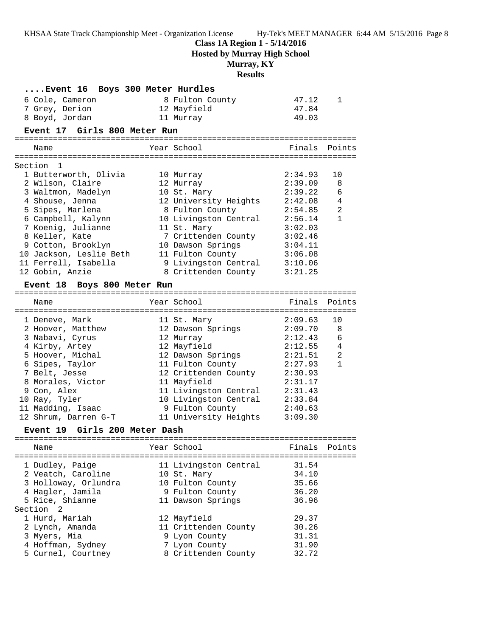**Class 1A Region 1 - 5/14/2016**

**Hosted by Murray High School**

# **Murray, KY**

## **Results**

| Event 16  Boys 300 Meter Hurdles        |                       |         |              |
|-----------------------------------------|-----------------------|---------|--------------|
| 6 Cole, Cameron                         | 8 Fulton County       | 47.12   | 1            |
| 7 Grey, Derion                          | 12 Mayfield           | 47.84   |              |
| 8 Boyd, Jordan                          | 11 Murray             | 49.03   |              |
| Event 17 Girls 800 Meter Run            |                       |         |              |
| Name                                    | Year School           | Finals  | Points       |
|                                         |                       |         |              |
| Section<br>-1.                          |                       |         |              |
| 1 Butterworth, Olivia                   | 10 Murray             | 2:34.93 | 10           |
| 2 Wilson, Claire                        | 12 Murray             | 2:39.09 | 8            |
| 3 Waltmon, Madelyn                      | 10 St. Mary           | 2:39.22 | 6            |
| 4 Shouse, Jenna                         | 12 University Heights | 2:42.08 | 4            |
| 5 Sipes, Marlena                        | 8 Fulton County       | 2:54.85 | 2            |
| 6 Campbell, Kalynn                      | 10 Livingston Central | 2:56.14 | $\mathbf{1}$ |
| 7 Koenig, Julianne                      | 11 St. Mary           | 3:02.03 |              |
| 8 Keller, Kate                          | 7 Crittenden County   | 3:02.46 |              |
| 9 Cotton, Brooklyn                      | 10 Dawson Springs     | 3:04.11 |              |
| 10 Jackson, Leslie Beth                 | 11 Fulton County      | 3:06.08 |              |
| 11 Ferrell, Isabella                    | 9 Livingston Central  | 3:10.06 |              |
| 12 Gobin, Anzie                         | 8 Crittenden County   | 3:21.25 |              |
| Event 18 Boys 800 Meter Run             |                       |         |              |
|                                         |                       |         |              |
| Name                                    | Year School           | Finals  | Points       |
|                                         |                       |         |              |
| 1 Deneve, Mark                          | 11 St. Mary           | 2:09.63 | 10           |
| 2 Hoover, Matthew                       | 12 Dawson Springs     | 2:09.70 | 8            |
| 3 Nabavi, Cyrus                         | 12 Murray             | 2:12.43 | 6            |
| 4 Kirby, Artey                          | 12 Mayfield           | 2:12.55 | 4            |
| 5 Hoover, Michal                        | 12 Dawson Springs     | 2:21.51 | 2            |
| 6 Sipes, Taylor                         | 11 Fulton County      | 2:27.93 | $\mathbf{1}$ |
| 7 Belt, Jesse                           | 12 Crittenden County  | 2:30.93 |              |
| 8 Morales, Victor                       | 11 Mayfield           | 2:31.17 |              |
| 9 Con, Alex                             | 11 Livingston Central | 2:31.43 |              |
| 10 Ray, Tyler                           | 10 Livingston Central | 2:33.84 |              |
| 11 Madding, Isaac                       | 9 Fulton County       | 2:40.63 |              |
| 12 Shrum, Darren G-T                    | 11 University Heights | 3:09.30 |              |
| Girls 200 Meter Dash<br><b>Event 19</b> |                       |         |              |
| Name                                    | Year School           | Finals  | Points       |
|                                         |                       |         |              |
| 1 Dudley, Paige                         | 11 Livingston Central | 31.54   |              |
| 2 Veatch, Caroline                      | 10 St. Mary           | 34.10   |              |
| 3 Holloway, Orlundra                    | 10 Fulton County      | 35.66   |              |
| 4 Hagler, Jamila                        | 9 Fulton County       | 36.20   |              |
| 5 Rice, Shianne                         | 11 Dawson Springs     | 36.96   |              |
| Section <sub>2</sub>                    |                       |         |              |
| 1 Hurd, Mariah                          | 12 Mayfield           | 29.37   |              |
| 2 Lynch, Amanda                         | 11 Crittenden County  | 30.26   |              |
| 3 Myers, Mia                            | 9 Lyon County         | 31.31   |              |
| 4 Hoffman, Sydney                       | 7 Lyon County         | 31.90   |              |
| 5 Curnel, Courtney                      | 8 Crittenden County   | 32.72   |              |
|                                         |                       |         |              |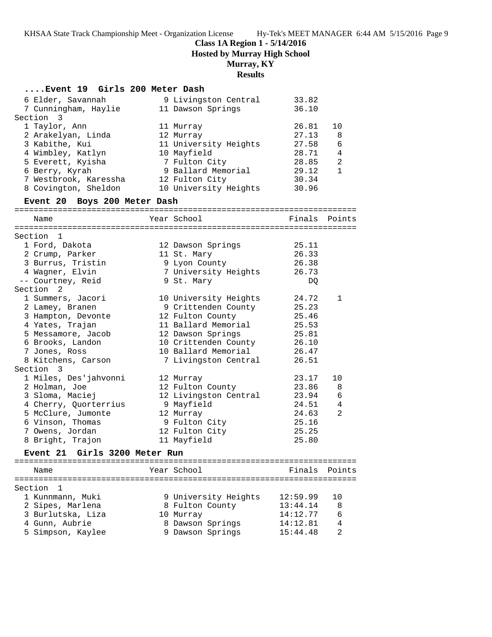**Class 1A Region 1 - 5/14/2016**

**Hosted by Murray High School**

# **Murray, KY**

# **Results**

| Event 19 Girls 200 Meter Dash           |                       |                |               |
|-----------------------------------------|-----------------------|----------------|---------------|
| 6 Elder, Savannah                       | 9 Livingston Central  | 33.82          |               |
| 7 Cunningham, Haylie                    | 11 Dawson Springs     | 36.10          |               |
| Section 3                               |                       |                |               |
| 1 Taylor, Ann                           | 11 Murray             | 26.81          | 10            |
| 2 Arakelyan, Linda                      | 12 Murray             | 27.13          | 8             |
| 3 Kabithe, Kui                          | 11 University Heights | 27.58          | 6             |
| 4 Wimbley, Katlyn                       | 10 Mayfield           | 28.71          | 4             |
| 5 Everett, Kyisha                       | 7 Fulton City         | 28.85          | 2             |
| 6 Berry, Kyrah                          | 9 Ballard Memorial    | 29.12          | $\mathbf{1}$  |
| 7 Westbrook, Karessha                   | 12 Fulton City        | 30.34          |               |
| 8 Covington, Sheldon                    | 10 University Heights | 30.96          |               |
| Event 20 Boys 200 Meter Dash            |                       |                |               |
|                                         |                       |                |               |
| Name                                    | Year School           |                | Finals Points |
|                                         |                       |                |               |
| Section 1                               |                       |                |               |
| 1 Ford, Dakota                          | 12 Dawson Springs     | 25.11          |               |
| 2 Crump, Parker                         | 11 St. Mary           | 26.33          |               |
| 3 Burrus, Tristin                       | 9 Lyon County         | 26.38          |               |
| 4 Wagner, Elvin                         | 7 University Heights  | 26.73          |               |
| -- Courtney, Reid                       | 9 St. Mary            | DQ             |               |
| Section<br>2                            |                       |                |               |
| 1 Summers, Jacori                       | 10 University Heights | 24.72          | 1             |
| 2 Lamey, Branen                         | 9 Crittenden County   | 25.23          |               |
| 3 Hampton, Devonte                      | 12 Fulton County      | 25.46          |               |
| 4 Yates, Trajan                         | 11 Ballard Memorial   | 25.53          |               |
| 5 Messamore, Jacob                      | 12 Dawson Springs     | 25.81          |               |
| 6 Brooks, Landon                        | 10 Crittenden County  | 26.10          |               |
| 7 Jones, Ross                           | 10 Ballard Memorial   | 26.47          |               |
| 8 Kitchens, Carson                      | 7 Livingston Central  | 26.51          |               |
| Section 3                               |                       |                |               |
| 1 Miles, Des'jahvonni                   | 12 Murray             | 23.17          | 10            |
| 2 Holman, Joe                           | 12 Fulton County      | 23.86          | 8             |
| 3 Sloma, Maciej                         | 12 Livingston Central | 23.94          | 6             |
| 4 Cherry, Quorterrius                   | 9 Mayfield            | 24.51          | 4             |
| 5 McClure, Jumonte                      | 12 Murray             | 24.63          | 2             |
| 6 Vinson, Thomas                        | 9 Fulton City         | 25.16          |               |
| 7 Owens, Jordan                         | 12 Fulton City        | 25.25          |               |
| 8 Bright, Trajon                        | 11 Mayfield           | 25.80          |               |
| Girls 3200 Meter Run<br><b>Event 21</b> |                       |                |               |
|                                         |                       | ============== |               |
| Name                                    | Year School           | Finals         | Points        |
| Section<br>1                            |                       |                |               |
| 1 Kunnmann, Muki                        | 9 University Heights  | 12:59.99       | 10            |
| 2 Sipes, Marlena                        | 8 Fulton County       | 13:44.14       | 8             |
| 3 Burlutska, Liza                       | 10 Murray             | 14:12.77       | 6             |
| 4 Gunn, Aubrie                          | 8 Dawson Springs      | 14:12.81       | 4             |
| 5 Simpson, Kaylee                       | 9 Dawson Springs      | 15:44.48       | 2             |
|                                         |                       |                |               |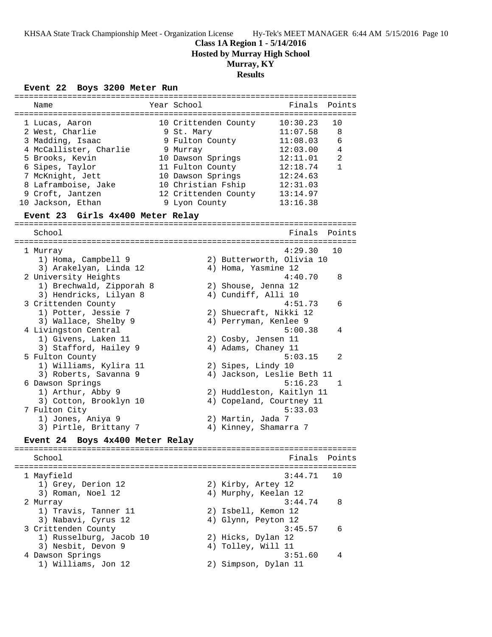## **Class 1A Region 1 - 5/14/2016 Hosted by Murray High School**

# **Murray, KY**

# **Results**

#### **Event 22 Boys 3200 Meter Run**

| Name                                      | Year School          | Finals                     | Points       |
|-------------------------------------------|----------------------|----------------------------|--------------|
| 1 Lucas, Aaron                            | 10 Crittenden County | 10:30.23                   | 10           |
| 2 West, Charlie                           | 9 St. Mary           | 11:07.58                   | 8            |
| 3 Madding, Isaac                          | 9 Fulton County      | 11:08.03                   | 6            |
| 4 McCallister, Charlie                    | 9 Murray             | 12:03.00                   | 4            |
| 5 Brooks, Kevin                           | 10 Dawson Springs    | 12:11.01                   | 2            |
| 6 Sipes, Taylor                           | 11 Fulton County     | 12:18.74                   | $\mathbf{1}$ |
| 7 McKnight, Jett                          | 10 Dawson Springs    | 12:24.63                   |              |
| 8 Laframboise, Jake                       | 10 Christian Fship   | 12:31.03                   |              |
| 9 Croft, Jantzen                          | 12 Crittenden County | 13:14.97                   |              |
| 10 Jackson, Ethan                         | 9 Lyon County        | 13:16.38                   |              |
| Event 23 Girls 4x400 Meter Relay          |                      |                            |              |
| School                                    |                      | Finals                     | Points       |
|                                           |                      |                            |              |
| 1 Murray                                  |                      | 4:29.30                    | 10           |
| 1) Homa, Campbell 9                       |                      | 2) Butterworth, Olivia 10  |              |
| 3) Arakelyan, Linda 12                    |                      | 4) Homa, Yasmine 12        |              |
| 2 University Heights                      |                      | 4:40.70                    | 8            |
| 1) Brechwald, Zipporah 8                  |                      | 2) Shouse, Jenna 12        |              |
| 3) Hendricks, Lilyan 8                    |                      | 4) Cundiff, Alli 10        |              |
| 3 Crittenden County                       |                      | 4:51.73                    | 6            |
| 1) Potter, Jessie 7                       |                      | 2) Shuecraft, Nikki 12     |              |
| 3) Wallace, Shelby 9                      |                      | 4) Perryman, Kenlee 9      |              |
| 4 Livingston Central                      |                      | 5:00.38                    | 4            |
| 1) Givens, Laken 11                       |                      | 2) Cosby, Jensen 11        |              |
| 3) Stafford, Hailey 9                     |                      | 4) Adams, Chaney 11        |              |
| 5 Fulton County                           |                      | 5:03.15                    | 2            |
| 1) Williams, Kylira 11                    |                      | 2) Sipes, Lindy 10         |              |
| 3) Roberts, Savanna 9                     |                      | 4) Jackson, Leslie Beth 11 |              |
| 6 Dawson Springs                          |                      | 5:16.23                    | 1            |
| 1) Arthur, Abby 9                         |                      | 2) Huddleston, Kaitlyn 11  |              |
| 3) Cotton, Brooklyn 10                    |                      | 4) Copeland, Courtney 11   |              |
| 7 Fulton City                             |                      | 5:33.03                    |              |
| 1) Jones, Aniya 9                         | 2) Martin, Jada 7    |                            |              |
| 3) Pirtle, Brittany 7                     |                      | 4) Kinney, Shamarra 7      |              |
| Boys 4x400 Meter Relay<br><b>Event 24</b> |                      |                            |              |
|                                           |                      |                            |              |
| School                                    |                      | Finals                     | Points       |
| 1 Mayfield                                |                      | 3:44.71                    | 10           |
| 1) Grey, Derion 12                        |                      | 2) Kirby, Artey 12         |              |
| 3) Roman, Noel 12                         |                      | 4) Murphy, Keelan 12       |              |
| 2 Murray                                  |                      | 3:44.74                    | 8            |

 1) Travis, Tanner 11 2) Isbell, Kemon 12 3) Nabavi, Cyrus 12 4) Glynn, Peyton 12

 1) Russelburg, Jacob 10 2) Hicks, Dylan 12 3) Nesbit, Devon 9 4) Tolley, Will 11

3 Crittenden County 3:45.57 6

 4 Dawson Springs 3:51.60 4 1) Williams, Jon 12 2) Simpson, Dylan 11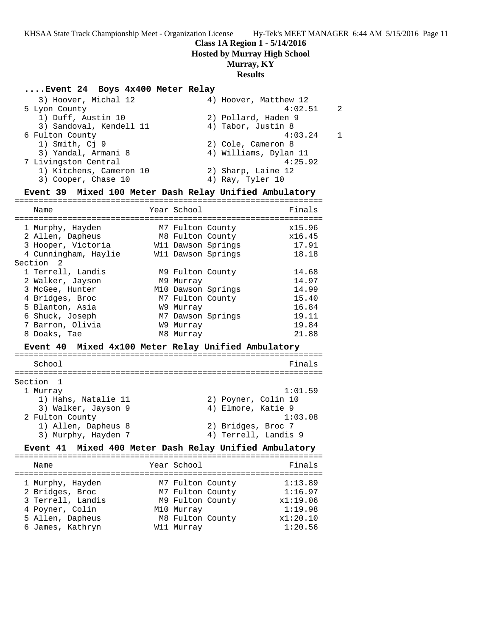# **Class 1A Region 1 - 5/14/2016**

**Hosted by Murray High School**

## **Murray, KY**

## **Results**

#### **....Event 24 Boys 4x400 Meter Relay**

| 3) Hoover, Michal 12    | 4) Hoover, Matthew 12 |                |
|-------------------------|-----------------------|----------------|
| 5 Lyon County           | 4:02.51               | $\overline{2}$ |
| 1) Duff, Austin 10      | 2) Pollard, Haden 9   |                |
| 3) Sandoval, Kendell 11 | 4) Tabor, Justin 8    |                |
| 6 Fulton County         | 4:03.24               |                |
| 1) Smith, Cj 9          | 2) Cole, Cameron 8    |                |
| 3) Yandal, Armani 8     | 4) Williams, Dylan 11 |                |
| 7 Livingston Central    | 4:25.92               |                |
| 1) Kitchens, Cameron 10 | 2) Sharp, Laine 12    |                |
| 3) Cooper, Chase 10     | 4) Ray, Tyler 10      |                |
|                         |                       |                |

#### **Event 39 Mixed 100 Meter Dash Relay Unified Ambulatory**

| Name                                                | Year School      |                      | Finals  |
|-----------------------------------------------------|------------------|----------------------|---------|
|                                                     |                  |                      |         |
| 1 Murphy, Hayden                                    | M7 Fulton County |                      | x15.96  |
| 2 Allen, Dapheus                                    | M8 Fulton County |                      | x16.45  |
| 3 Hooper, Victoria                                  |                  | W11 Dawson Springs   | 17.91   |
| 4 Cunningham, Haylie                                |                  | W11 Dawson Springs   | 18.18   |
| Section 2                                           |                  |                      |         |
| 1 Terrell, Landis                                   | M9 Fulton County |                      | 14.68   |
| 2 Walker, Jayson                                    | M9 Murray        |                      | 14.97   |
| 3 McGee, Hunter                                     |                  | M10 Dawson Springs   | 14.99   |
| 4 Bridges, Broc                                     | M7 Fulton County |                      | 15.40   |
| 5 Blanton, Asia                                     | W9 Murray        |                      | 16.84   |
| 6 Shuck, Joseph                                     |                  | M7 Dawson Springs    | 19.11   |
| 7 Barron, Olivia                                    | W9 Murray        |                      | 19.84   |
| 8 Doaks, Tae                                        | M8 Murray        |                      | 21.88   |
| Event 40 Mixed 4x100 Meter Relay Unified Ambulatory |                  |                      |         |
|                                                     |                  |                      |         |
| School                                              |                  |                      | Finals  |
|                                                     |                  |                      |         |
| Section<br>$\overline{1}$                           |                  |                      |         |
| 1 Murray                                            |                  |                      | 1:01.59 |
| 1) Hahs, Natalie 11                                 |                  | 2) Poyner, Colin 10  |         |
| 3) Walker, Jayson 9                                 |                  | 4) Elmore, Katie 9   |         |
| 2 Fulton County                                     |                  |                      | 1:03.08 |
| 1) Allen, Dapheus 8                                 |                  | 2) Bridges, Broc 7   |         |
| 3) Murphy, Hayden 7                                 |                  | 4) Terrell, Landis 9 |         |

#### **Event 41 Mixed 400 Meter Dash Relay Unified Ambulatory** ================================================================

| Name                                                                                                                | Year School                                                                                              | Finals                                                           |
|---------------------------------------------------------------------------------------------------------------------|----------------------------------------------------------------------------------------------------------|------------------------------------------------------------------|
| 1 Murphy, Hayden<br>2 Bridges, Broc<br>3 Terrell, Landis<br>4 Poyner, Colin<br>5 Allen, Dapheus<br>6 James, Kathryn | M7 Fulton County<br>M7 Fulton County<br>M9 Fulton County<br>M10 Murray<br>M8 Fulton County<br>W11 Murray | 1:13.89<br>1:16.97<br>x1:19.06<br>1:19.98<br>x1:20.10<br>1:20.56 |
|                                                                                                                     |                                                                                                          |                                                                  |